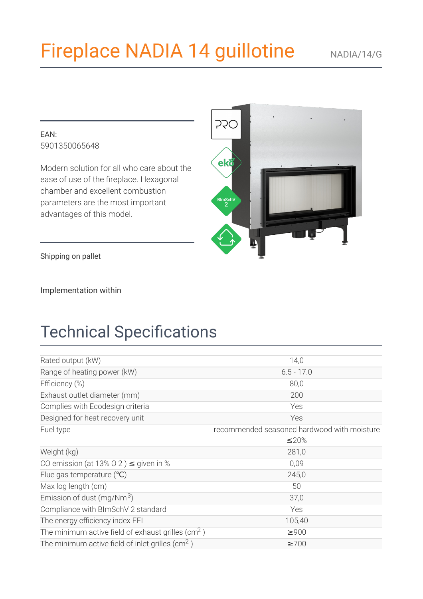# **Fireplace NADIA 14 guillotine**

#### $FAN$ 5901350065648

Modern solution for all who care about the ease of use of the fireplace. Hexagonal chamber and excellent combustion parameters are the most important advantages of this model.



Shipping on pallet

Implementation within

## **Technical Specifications**

| Rated output (kW)                                             | 14,0                                        |
|---------------------------------------------------------------|---------------------------------------------|
| Range of heating power (kW)                                   | $6.5 - 17.0$                                |
| Efficiency (%)                                                | 80,0                                        |
| Exhaust outlet diameter (mm)                                  | 200                                         |
| Complies with Ecodesign criteria                              | Yes                                         |
| Designed for heat recovery unit                               | Yes                                         |
| Fuel type                                                     | recommended seasoned hardwood with moisture |
|                                                               | ≤20%                                        |
| Weight (kg)                                                   | 281,0                                       |
| CO emission (at 13% O 2) $\leq$ given in %                    | 0,09                                        |
| Flue gas temperature $°C)$                                    | 245,0                                       |
| Max log length (cm)                                           | 50                                          |
| Emission of dust (mg/Nm <sup>3</sup> )                        | 37,0                                        |
| Compliance with BImSchV 2 standard                            | Yes                                         |
| The energy efficiency index EEI                               | 105,40                                      |
| The minimum active field of exhaust grilles ( $\text{cm}^2$ ) | $\geq 900$                                  |
| The minimum active field of inlet grilles ( $\text{cm}^2$ )   | $\geq 700$                                  |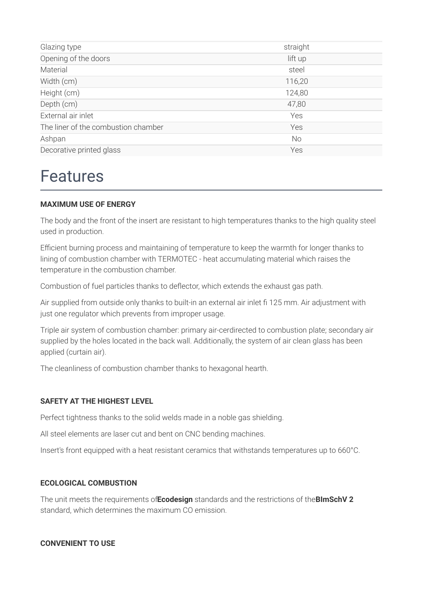| Glazing type                        | straight  |
|-------------------------------------|-----------|
| Opening of the doors                | lift up   |
| Material                            | steel     |
| Width (cm)                          | 116,20    |
| Height (cm)                         | 124,80    |
| Depth (cm)                          | 47,80     |
| External air inlet                  | Yes       |
| The liner of the combustion chamber | Yes       |
| Ashpan                              | <b>No</b> |
| Decorative printed glass            | Yes       |
|                                     |           |

## **Features**

#### **MAXIMUM USE OF ENERGY**

The body and the front of the insert are resistant to high temperatures thanks to the high quality steel used in production.

Efficient burning process and maintaining of temperature to keep the warmth for longer thanks to lining of combustion chamber with TERMOTEC - heat accumulating material which raises the temperature in the combustion chamber.

Combustion of fuel particles thanks to deflector, which extends the exhaust gas path.

Air supplied from outside only thanks to built-in an external air inlet fi 125 mm. Air adjustment with just one regulator which prevents from improper usage.

Triple air system of combustion chamber: primary air-cerdirected to combustion plate; secondary air supplied by the holes located in the back wall. Additionally, the system of air clean glass has been applied (curtain air).

The cleanliness of combustion chamber thanks to hexagonal hearth.

#### **SAFETY AT THE HIGHEST LEVEL**

Perfect tightness thanks to the solid welds made in a noble gas shielding.

All steel elements are laser cut and bent on CNC bending machines.

Insert's front equipped with a heat resistant ceramics that withstands temperatures up to 660°C.

#### **ECOLOGICAL COMBUSTION**

The unit meets the requirements of Ecodesign standards and the restrictions of the BImSchV 2 standard, which determines the maximum CO emission.

#### **CONVENIENT TO USE**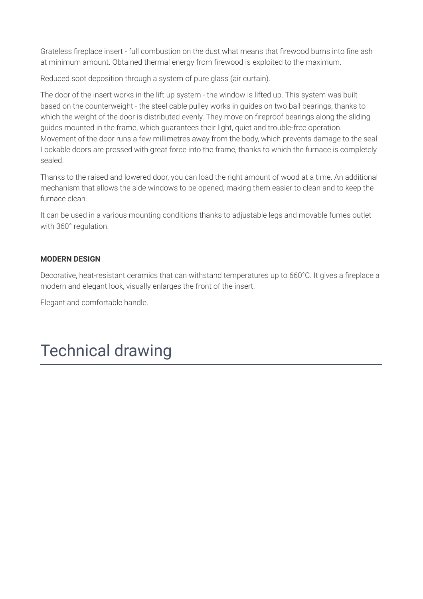Grateless fireplace insert - full combustion on the dust what means that firewood burns into fine ash at minimum amount. Obtained thermal energy from firewood is exploited to the maximum.

Reduced soot deposition through a system of pure glass (air curtain).

The door of the insert works in the lift up system - the window is lifted up. This system was built based on the counterweight - the steel cable pulley works in guides on two ball bearings, thanks to which the weight of the door is distributed evenly. They move on fireproof bearings along the sliding guides mounted in the frame, which guarantees their light, quiet and trouble-free operation. Movement of the door runs a few millimetres away from the body, which prevents damage to the seal. Lockable doors are pressed with great force into the frame, thanks to which the furnace is completely helees

Thanks to the raised and lowered door, you can load the right amount of wood at a time. An additional mechanism that allows the side windows to be opened, making them easier to clean and to keep the furnace clean.

It can be used in a various mounting conditions thanks to adjustable legs and movable fumes outlet with 360° regulation.

#### **MODERN DESIGN**

Decorative, heat-resistant ceramics that can withstand temperatures up to 660°C. It gives a fireplace a modern and elegant look, visually enlarges the front of the insert.

Elegant and comfortable handle.

## **Technical drawing**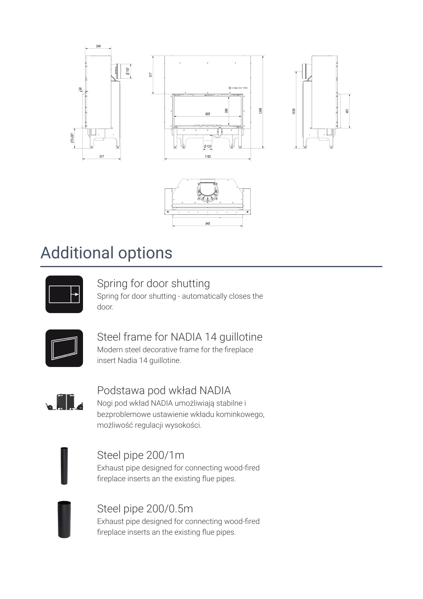



## **Additional options**



### Spring for door shutting

Spring for door shutting - automatically closes the door.



### Steel frame for NADIA 14 quillotine

Modern steel decorative frame for the fireplace insert Nadia 14 guillotine.



### Podstawa pod wkład NADIA

Nogi pod wkład NADIA umożliwiają stabilne i bezproblemowe ustawienie wkładu kominkowego, możliwość regulacji wysokości.

Steel pipe 200/1m

Exhaust pipe designed for connecting wood-fired fireplace inserts an the existing flue pipes.



Steel pipe 200/0.5m Exhaust pipe designed for connecting wood-fired fireplace inserts an the existing flue pipes.